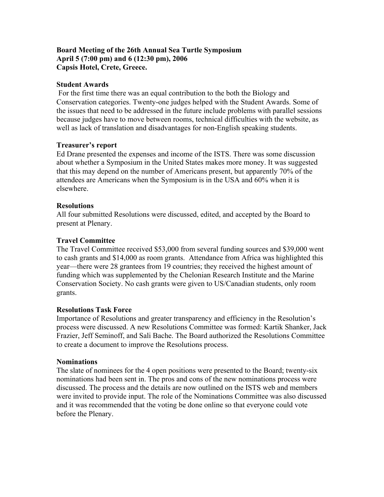# **Board Meeting of the 26th Annual Sea Turtle Symposium April 5 (7:00 pm) and 6 (12:30 pm), 2006 Capsis Hotel, Crete, Greece.**

### **Student Awards**

For the first time there was an equal contribution to the both the Biology and Conservation categories. Twenty-one judges helped with the Student Awards. Some of the issues that need to be addressed in the future include problems with parallel sessions because judges have to move between rooms, technical difficulties with the website, as well as lack of translation and disadvantages for non-English speaking students.

### **Treasurer's report**

Ed Drane presented the expenses and income of the ISTS. There was some discussion about whether a Symposium in the United States makes more money. It was suggested that this may depend on the number of Americans present, but apparently 70% of the attendees are Americans when the Symposium is in the USA and 60% when it is elsewhere.

# **Resolutions**

All four submitted Resolutions were discussed, edited, and accepted by the Board to present at Plenary.

# **Travel Committee**

The Travel Committee received \$53,000 from several funding sources and \$39,000 went to cash grants and \$14,000 as room grants. Attendance from Africa was highlighted this year—there were 28 grantees from 19 countries; they received the highest amount of funding which was supplemented by the Chelonian Research Institute and the Marine Conservation Society. No cash grants were given to US/Canadian students, only room grants.

### **Resolutions Task Force**

Importance of Resolutions and greater transparency and efficiency in the Resolution's process were discussed. A new Resolutions Committee was formed: Kartik Shanker, Jack Frazier, Jeff Seminoff, and Sali Bache. The Board authorized the Resolutions Committee to create a document to improve the Resolutions process.

### **Nominations**

The slate of nominees for the 4 open positions were presented to the Board; twenty-six nominations had been sent in. The pros and cons of the new nominations process were discussed. The process and the details are now outlined on the ISTS web and members were invited to provide input. The role of the Nominations Committee was also discussed and it was recommended that the voting be done online so that everyone could vote before the Plenary.